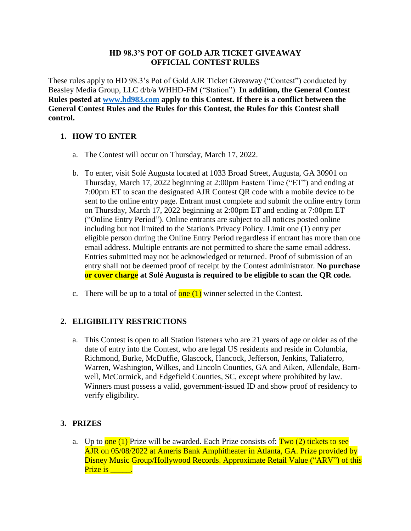#### **HD 98.3'S POT OF GOLD AJR TICKET GIVEAWAY OFFICIAL CONTEST RULES**

These rules apply to HD 98.3's Pot of Gold AJR Ticket Giveaway ("Contest") conducted by Beasley Media Group, LLC d/b/a WHHD-FM ("Station"). **In addition, the General Contest Rules posted at [www.hd983.com](http://www.hd983.com/) apply to this Contest. If there is a conflict between the General Contest Rules and the Rules for this Contest, the Rules for this Contest shall control.**

# **1. HOW TO ENTER**

- a. The Contest will occur on Thursday, March 17, 2022.
- b. To enter, visit Solé Augusta located at 1033 Broad Street, Augusta, GA 30901 on Thursday, March 17, 2022 beginning at 2:00pm Eastern Time ("ET") and ending at 7:00pm ET to scan the designated AJR Contest QR code with a mobile device to be sent to the online entry page. Entrant must complete and submit the online entry form on Thursday, March 17, 2022 beginning at 2:00pm ET and ending at 7:00pm ET ("Online Entry Period"). Online entrants are subject to all notices posted online including but not limited to the Station's Privacy Policy. Limit one (1) entry per eligible person during the Online Entry Period regardless if entrant has more than one email address. Multiple entrants are not permitted to share the same email address. Entries submitted may not be acknowledged or returned. Proof of submission of an entry shall not be deemed proof of receipt by the Contest administrator. **No purchase or cover charge at Solé Augusta is required to be eligible to scan the QR code.**
- c. There will be up to a total of  $one(1)$  winner selected in the Contest.

## **2. ELIGIBILITY RESTRICTIONS**

a. This Contest is open to all Station listeners who are 21 years of age or older as of the date of entry into the Contest, who are legal US residents and reside in Columbia, Richmond, Burke, McDuffie, Glascock, Hancock, Jefferson, Jenkins, Taliaferro, Warren, Washington, Wilkes, and Lincoln Counties, GA and Aiken, Allendale, Barnwell, McCormick, and Edgefield Counties, SC, except where prohibited by law. Winners must possess a valid, government-issued ID and show proof of residency to verify eligibility.

## **3. PRIZES**

a. Up to  $one(1)$  Prize will be awarded. Each Prize consists of:  $Two(2)$  tickets to see AJR on 05/08/2022 at Ameris Bank Amphitheater in Atlanta, GA. Prize provided by Disney Music Group/Hollywood Records. Approximate Retail Value ("ARV") of this Prize is the set of the set of the set of the set of the set of the set of the set of the set of the set of the <br>Set of the set of the set of the set of the set of the set of the set of the set of the set of the set of the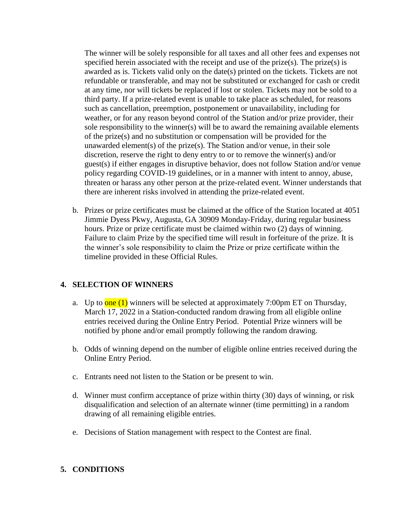The winner will be solely responsible for all taxes and all other fees and expenses not specified herein associated with the receipt and use of the prize(s). The prize(s) is awarded as is. Tickets valid only on the date(s) printed on the tickets. Tickets are not refundable or transferable, and may not be substituted or exchanged for cash or credit at any time, nor will tickets be replaced if lost or stolen. Tickets may not be sold to a third party. If a prize-related event is unable to take place as scheduled, for reasons such as cancellation, preemption, postponement or unavailability, including for weather, or for any reason beyond control of the Station and/or prize provider, their sole responsibility to the winner(s) will be to award the remaining available elements of the prize(s) and no substitution or compensation will be provided for the unawarded element(s) of the prize(s). The Station and/or venue, in their sole discretion, reserve the right to deny entry to or to remove the winner(s) and/or guest(s) if either engages in disruptive behavior, does not follow Station and/or venue policy regarding COVID-19 guidelines, or in a manner with intent to annoy, abuse, threaten or harass any other person at the prize-related event. Winner understands that there are inherent risks involved in attending the prize-related event.

b. Prizes or prize certificates must be claimed at the office of the Station located at 4051 Jimmie Dyess Pkwy, Augusta, GA 30909 Monday-Friday, during regular business hours. Prize or prize certificate must be claimed within two (2) days of winning. Failure to claim Prize by the specified time will result in forfeiture of the prize. It is the winner's sole responsibility to claim the Prize or prize certificate within the timeline provided in these Official Rules.

#### **4. SELECTION OF WINNERS**

- a. Up to  $one(1)$  winners will be selected at approximately 7:00pm ET on Thursday, March 17, 2022 in a Station-conducted random drawing from all eligible online entries received during the Online Entry Period. Potential Prize winners will be notified by phone and/or email promptly following the random drawing.
- b. Odds of winning depend on the number of eligible online entries received during the Online Entry Period.
- c. Entrants need not listen to the Station or be present to win.
- d. Winner must confirm acceptance of prize within thirty (30) days of winning, or risk disqualification and selection of an alternate winner (time permitting) in a random drawing of all remaining eligible entries.
- e. Decisions of Station management with respect to the Contest are final.

#### **5. CONDITIONS**